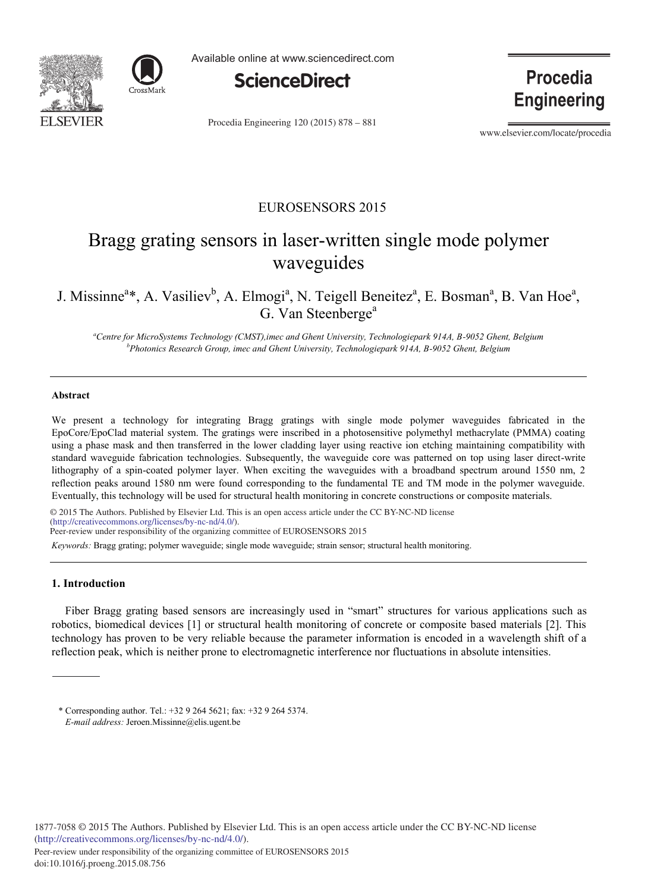



Available online at www.sciencedirect.com



Procedia Engineering 120 (2015) 878 - 881

**Procedia Engineering** 

www.elsevier.com/locate/procedia

### EUROSENSORS 2015

# Bragg grating sensors in laser-written single mode polymer waveguides

## J. Missinne<sup>a</sup>\*, A. Vasiliev<sup>b</sup>, A. Elmogi<sup>a</sup>, N. Teigell Beneitez<sup>a</sup>, E. Bosman<sup>a</sup>, B. Van Hoe<sup>a</sup>, G. Van Steenberge<sup>a</sup>

*a Centre for MicroSystems Technology (CMST),imec and Ghent University, Technologiepark 914A, B-9052 Ghent, Belgium b Photonics Research Group, imec and Ghent University, Technologiepark 914A, B-9052 Ghent, Belgium*

#### **Abstract**

We present a technology for integrating Bragg gratings with single mode polymer waveguides fabricated in the EpoCore/EpoClad material system. The gratings were inscribed in a photosensitive polymethyl methacrylate (PMMA) coating using a phase mask and then transferred in the lower cladding layer using reactive ion etching maintaining compatibility with standard waveguide fabrication technologies. Subsequently, the waveguide core was patterned on top using laser direct-write lithography of a spin-coated polymer layer. When exciting the waveguides with a broadband spectrum around 1550 nm, 2 reflection peaks around 1580 nm were found corresponding to the fundamental TE and TM mode in the polymer waveguide. Eventually, this technology will be used for structural health monitoring in concrete constructions or composite materials.

© 2015 The Authors. Published by Elsevier Ltd. © 2015 The Authors. Published by Elsevier Ltd. This is an open access article under the CC BY-NC-ND license (http://creativecommons.org/licenses/by-nc-nd/4.0/). *Keywords:* Bragg grating; polymer waveguide; single mode waveguide; strain sensor; structural health monitoring. Peer-review under responsibility of the organizing committee of EUROSENSORS 2015

#### **1. Introduction**

Fiber Bragg grating based sensors are increasingly used in "smart" structures for various applications such as robotics, biomedical devices [1] or structural health monitoring of concrete or composite based materials [2]. This technology has proven to be very reliable because the parameter information is encoded in a wavelength shift of a reflection peak, which is neither prone to electromagnetic interference nor fluctuations in absolute intensities.

\* Corresponding author. Tel.: +32 9 264 5621; fax: +32 9 264 5374. *E-mail address:* Jeroen.Missinne@elis.ugent.be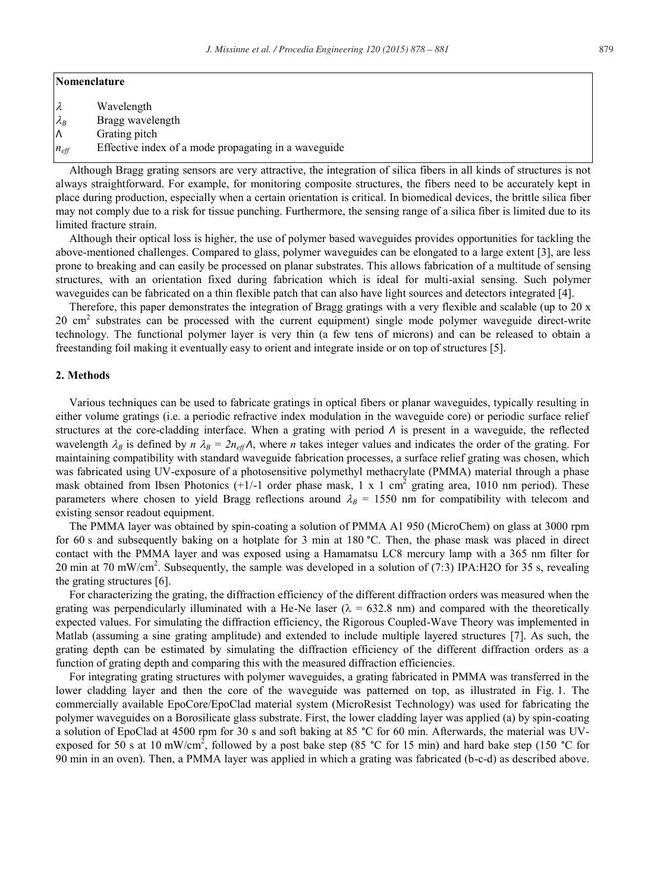#### **Nomenclature**

- $\lambda$  Wavelength
- $\lambda_B$  Bragg wavelength
- Λ Grating pitch
- $n_{\text{eff}}$  Effective index of a mode propagating in a waveguide

Although Bragg grating sensors are very attractive, the integration of silica fibers in all kinds of structures is not always straightforward. For example, for monitoring composite structures, the fibers need to be accurately kept in place during production, especially when a certain orientation is critical. In biomedical devices, the brittle silica fiber may not comply due to a risk for tissue punching. Furthermore, the sensing range of a silica fiber is limited due to its limited fracture strain.

Although their optical loss is higher, the use of polymer based waveguides provides opportunities for tackling the above-mentioned challenges. Compared to glass, polymer waveguides can be elongated to a large extent [3], are less prone to breaking and can easily be processed on planar substrates. This allows fabrication of a multitude of sensing structures, with an orientation fixed during fabrication which is ideal for multi-axial sensing. Such polymer waveguides can be fabricated on a thin flexible patch that can also have light sources and detectors integrated [4].

Therefore, this paper demonstrates the integration of Bragg gratings with a very flexible and scalable (up to 20 x 20 cm<sup>2</sup> substrates can be processed with the current equipment) single mode polymer waveguide direct-write technology. The functional polymer layer is very thin (a few tens of microns) and can be released to obtain a freestanding foil making it eventually easy to orient and integrate inside or on top of structures [5].

#### **2. Methods**

Various techniques can be used to fabricate gratings in optical fibers or planar waveguides, typically resulting in either volume gratings (i.e. a periodic refractive index modulation in the waveguide core) or periodic surface relief structures at the core-cladding interface. When a grating with period *Λ* is present in a waveguide, the reflected wavelength  $\lambda_B$  is defined by  $n \lambda_B = 2n_{\text{eff}}\Lambda$ , where *n* takes integer values and indicates the order of the grating. For maintaining compatibility with standard waveguide fabrication processes, a surface relief grating was chosen, which was fabricated using UV-exposure of a photosensitive polymethyl methacrylate (PMMA) material through a phase mask obtained from Ibsen Photonics  $(+1/-1)$  order phase mask, 1 x 1 cm<sup>2</sup> grating area, 1010 nm period). These parameters where chosen to yield Bragg reflections around  $\lambda_B = 1550$  nm for compatibility with telecom and existing sensor readout equipment.

The PMMA layer was obtained by spin-coating a solution of PMMA A1 950 (MicroChem) on glass at 3000 rpm for 60 s and subsequently baking on a hotplate for 3 min at 180 °C. Then, the phase mask was placed in direct contact with the PMMA layer and was exposed using a Hamamatsu LC8 mercury lamp with a 365 nm filter for 20 min at 70 mW/cm<sup>2</sup>. Subsequently, the sample was developed in a solution of  $(7.3)$  IPA:H2O for 35 s, revealing the grating structures [6].

For characterizing the grating, the diffraction efficiency of the different diffraction orders was measured when the grating was perpendicularly illuminated with a He-Ne laser ( $\lambda = 632.8$  nm) and compared with the theoretically expected values. For simulating the diffraction efficiency, the Rigorous Coupled-Wave Theory was implemented in Matlab (assuming a sine grating amplitude) and extended to include multiple layered structures [7]. As such, the grating depth can be estimated by simulating the diffraction efficiency of the different diffraction orders as a function of grating depth and comparing this with the measured diffraction efficiencies.

For integrating grating structures with polymer waveguides, a grating fabricated in PMMA was transferred in the lower cladding layer and then the core of the waveguide was patterned on top, as illustrated in Fig. 1. The commercially available EpoCore/EpoClad material system (MicroResist Technology) was used for fabricating the polymer waveguides on a Borosilicate glass substrate. First, the lower cladding layer was applied (a) by spin-coating a solution of EpoClad at 4500 rpm for 30 s and soft baking at 85 °C for 60 min. Afterwards, the material was UVexposed for 50 s at 10 mW/cm<sup>2</sup>, followed by a post bake step (85 °C for 15 min) and hard bake step (150 °C for 90 min in an oven). Then, a PMMA layer was applied in which a grating was fabricated (b-c-d) as described above.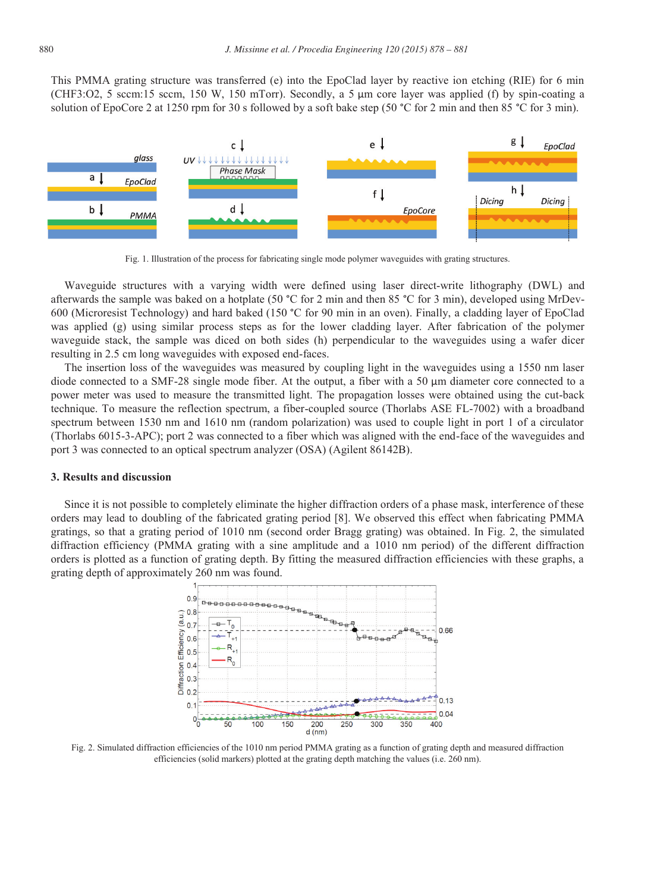This PMMA grating structure was transferred (e) into the EpoClad layer by reactive ion etching (RIE) for 6 min (CHF3:O2, 5 sccm:15 sccm, 150 W, 150 mTorr). Secondly, a 5 μm core layer was applied (f) by spin-coating a solution of EpoCore 2 at 1250 rpm for 30 s followed by a soft bake step (50 °C for 2 min and then 85 °C for 3 min).



Fig. 1. Illustration of the process for fabricating single mode polymer waveguides with grating structures.

Waveguide structures with a varying width were defined using laser direct-write lithography (DWL) and afterwards the sample was baked on a hotplate (50 °C for 2 min and then 85 °C for 3 min), developed using MrDev-600 (Microresist Technology) and hard baked (150 °C for 90 min in an oven). Finally, a cladding layer of EpoClad was applied (g) using similar process steps as for the lower cladding layer. After fabrication of the polymer waveguide stack, the sample was diced on both sides (h) perpendicular to the waveguides using a wafer dicer resulting in 2.5 cm long waveguides with exposed end-faces.

The insertion loss of the waveguides was measured by coupling light in the waveguides using a 1550 nm laser diode connected to a SMF-28 single mode fiber. At the output, a fiber with a 50 μm diameter core connected to a power meter was used to measure the transmitted light. The propagation losses were obtained using the cut-back technique. To measure the reflection spectrum, a fiber-coupled source (Thorlabs ASE FL-7002) with a broadband spectrum between 1530 nm and 1610 nm (random polarization) was used to couple light in port 1 of a circulator (Thorlabs 6015-3-APC); port 2 was connected to a fiber which was aligned with the end-face of the waveguides and port 3 was connected to an optical spectrum analyzer (OSA) (Agilent 86142B).

#### **3. Results and discussion**

Since it is not possible to completely eliminate the higher diffraction orders of a phase mask, interference of these orders may lead to doubling of the fabricated grating period [8]. We observed this effect when fabricating PMMA gratings, so that a grating period of 1010 nm (second order Bragg grating) was obtained. In Fig. 2, the simulated diffraction efficiency (PMMA grating with a sine amplitude and a 1010 nm period) of the different diffraction orders is plotted as a function of grating depth. By fitting the measured diffraction efficiencies with these graphs, a grating depth of approximately 260 nm was found.



Fig. 2. Simulated diffraction efficiencies of the 1010 nm period PMMA grating as a function of grating depth and measured diffraction efficiencies (solid markers) plotted at the grating depth matching the values (i.e. 260 nm).